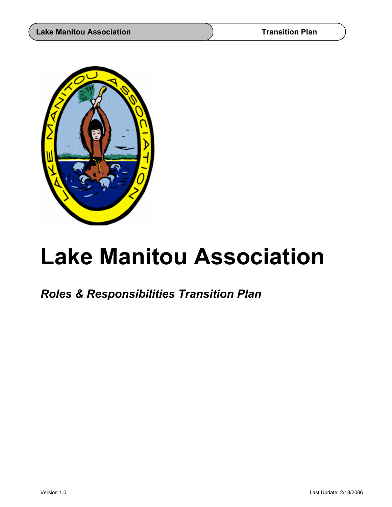

# **Lake Manitou Association**

*Roles & Responsibilities Transition Plan*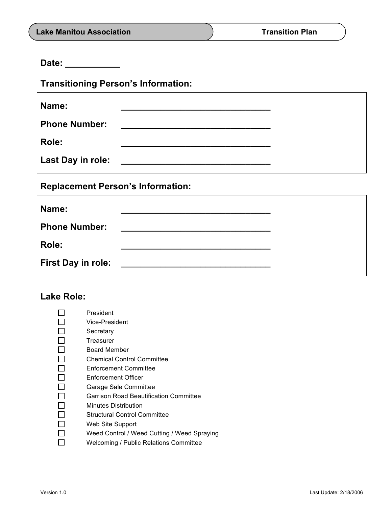**Date: \_\_\_\_\_\_\_\_\_\_\_**

**Transitioning Person's Information:**

| Name:                |                                                           |  |
|----------------------|-----------------------------------------------------------|--|
| <b>Phone Number:</b> | <u> 1980 - John Stone, Amerikaansk politiker (* 1900)</u> |  |
| Role:                |                                                           |  |
| Last Day in role:    |                                                           |  |

**Replacement Person's Information:**

| Name:                     |                                               |  |
|---------------------------|-----------------------------------------------|--|
| <b>Phone Number:</b>      | <u> 1989 - Andrea Andrew Maria (h. 1989).</u> |  |
| Role:                     |                                               |  |
| <b>First Day in role:</b> |                                               |  |

#### **Lake Role:**

| President                                   |
|---------------------------------------------|
| Vice-President                              |
| Secretary                                   |
| Treasurer                                   |
| Board Member                                |
| <b>Chemical Control Committee</b>           |
| Enforcement Committee                       |
| Enforcement Officer                         |
| Garage Sale Committee                       |
| Garrison Road Beautification Committee      |
| Minutes Distribution                        |
| <b>Structural Control Committee</b>         |
| Web Site Support                            |
| Weed Control / Weed Cutting / Weed Spraying |
| Welcoming / Public Relations Committee      |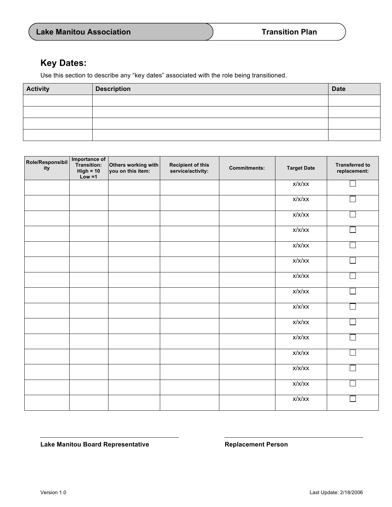Lake Manitou Board Representative **Replacement Person** 

| <b>Lake Manitou Association</b> | <b>Transition Plan</b> |
|---------------------------------|------------------------|
|---------------------------------|------------------------|

### **Key Dates:**

Use this section to describe any "key dates" associated with the role being transitioned.

| <b>Activity</b> | <b>Description</b> | <b>Date</b> |
|-----------------|--------------------|-------------|
|                 |                    |             |
|                 |                    |             |
|                 |                    |             |
|                 |                    |             |

| Role/Responsibil<br>ity | Importance of<br>Transition:<br>$High = 10$<br>$Low = 1$ | Others working with<br>you on this item: | <b>Recipient of this</b><br>service/activity: | <b>Commitments:</b> | <b>Target Date</b> | <b>Transferred to</b><br>replacement: |
|-------------------------|----------------------------------------------------------|------------------------------------------|-----------------------------------------------|---------------------|--------------------|---------------------------------------|
|                         |                                                          |                                          |                                               |                     | x/x/xx             |                                       |
|                         |                                                          |                                          |                                               |                     | x/x/xx             |                                       |
|                         |                                                          |                                          |                                               |                     | x/x/xx             |                                       |
|                         |                                                          |                                          |                                               |                     | x/x/xx             |                                       |
|                         |                                                          |                                          |                                               |                     | x/x/xx             |                                       |
|                         |                                                          |                                          |                                               |                     | x/x/xx             |                                       |
|                         |                                                          |                                          |                                               |                     | x/x/xx             |                                       |
|                         |                                                          |                                          |                                               |                     | x/x/xx             |                                       |
|                         |                                                          |                                          |                                               |                     | x/x/xx             |                                       |
|                         |                                                          |                                          |                                               |                     | x/x/xx             |                                       |
|                         |                                                          |                                          |                                               |                     | x/x/xx             |                                       |
|                         |                                                          |                                          |                                               |                     | x/x/xx             |                                       |
|                         |                                                          |                                          |                                               |                     | x/x/xx             |                                       |
|                         |                                                          |                                          |                                               |                     | x/x/xx             |                                       |
|                         |                                                          |                                          |                                               |                     | x/x/xx             |                                       |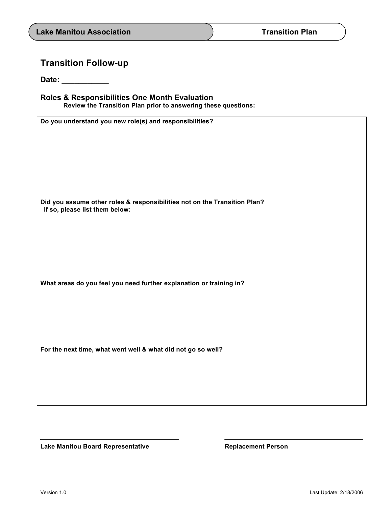## **Transition Follow-up**

**Date: \_\_\_\_\_\_\_\_\_\_\_**

| <b>Roles &amp; Responsibilities One Month Evaluation</b> |                                                                |  |  |  |
|----------------------------------------------------------|----------------------------------------------------------------|--|--|--|
|                                                          | Review the Transition Plan prior to answering these questions: |  |  |  |

| Do you understand you new role(s) and responsibilities?                   |
|---------------------------------------------------------------------------|
|                                                                           |
|                                                                           |
|                                                                           |
|                                                                           |
|                                                                           |
|                                                                           |
|                                                                           |
| Did you assume other roles & responsibilities not on the Transition Plan? |
| If so, please list them below:                                            |
|                                                                           |
|                                                                           |
|                                                                           |
|                                                                           |
|                                                                           |
|                                                                           |
|                                                                           |
| What areas do you feel you need further explanation or training in?       |
|                                                                           |
|                                                                           |
|                                                                           |
|                                                                           |
|                                                                           |
| For the next time, what went well & what did not go so well?              |
|                                                                           |
|                                                                           |
|                                                                           |
|                                                                           |
|                                                                           |
|                                                                           |

Lake Manitou Board Representative **Replacement Person**